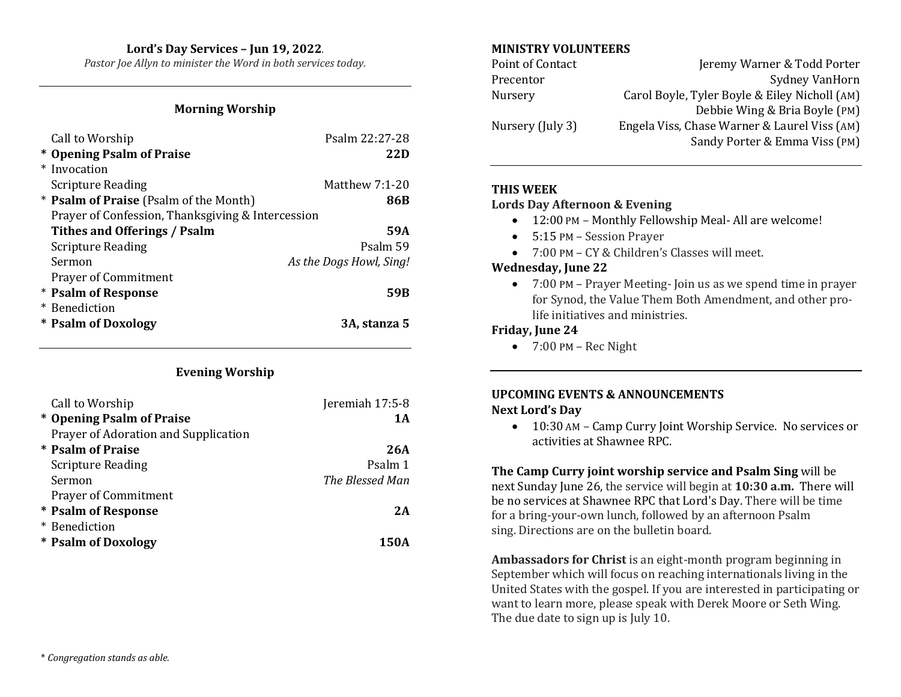# **Lord's Day Services – Jun 19, 2022***.*

*Pastor Joe Allyn to minister the Word in both services today.*

#### **Morning Worship**

| Call to Worship                                   | Psalm 22:27-28          |
|---------------------------------------------------|-------------------------|
| * Opening Psalm of Praise                         | 22D                     |
| * Invocation                                      |                         |
| <b>Scripture Reading</b>                          | Matthew $7:1-20$        |
| * <b>Psalm of Praise</b> (Psalm of the Month)     | 86B                     |
| Prayer of Confession, Thanksgiving & Intercession |                         |
| Tithes and Offerings / Psalm                      | 59A                     |
| <b>Scripture Reading</b>                          | Psalm 59                |
| Sermon                                            | As the Dogs Howl, Sing! |
| <b>Prayer of Commitment</b>                       |                         |
| * Psalm of Response                               | 59B                     |
| * Benediction                                     |                         |
| * Psalm of Doxology                               | 3A. stanza 5            |

## **Evening Worship**

| Call to Worship                      | Jeremiah 17:5-8 |
|--------------------------------------|-----------------|
| * Opening Psalm of Praise            | 1 A             |
| Prayer of Adoration and Supplication |                 |
| * Psalm of Praise                    | 26A             |
| <b>Scripture Reading</b>             | Psalm 1         |
| Sermon                               | The Blessed Man |
| <b>Prayer of Commitment</b>          |                 |
| * Psalm of Response                  | 2A              |
| * Benediction                        |                 |
| * Psalm of Doxology                  | 150A            |

## **MINISTRY VOLUNTEERS**

| Point of Contact | Jeremy Warner & Todd Porter                   |
|------------------|-----------------------------------------------|
| Precentor        | <b>Sydney VanHorn</b>                         |
| Nursery          | Carol Boyle, Tyler Boyle & Eiley Nicholl (AM) |
|                  | Debbie Wing & Bria Boyle (PM)                 |
| Nursery (July 3) | Engela Viss, Chase Warner & Laurel Viss (AM)  |
|                  | Sandy Porter & Emma Viss (PM)                 |

#### **THIS WEEK**

#### **Lords Day Afternoon & Evening**

- 12:00 PM Monthly Fellowship Meal- All are welcome!
- 5:15 PM Session Prayer
- 7:00 PM CY & Children's Classes will meet.

#### **Wednesday, June 22**

• 7:00 PM – Prayer Meeting- Join us as we spend time in prayer for Synod, the Value Them Both Amendment, and other prolife initiatives and ministries.

## **Friday, June 24**

 $\bullet$  7:00 PM – Rec Night

## **UPCOMING EVENTS & ANNOUNCEMENTS Next Lord's Day**

• 10:30 AM – Camp Curry Joint Worship Service. No services or activities at Shawnee RPC.

**The Camp Curry joint worship service and Psalm Sing** will be next Sunday June 26, the service will begin at **10:30 a.m.** There will be no services at Shawnee RPC that Lord's Day. There will be time for a bring-your-own lunch, followed by an afternoon Psalm sing. Directions are on the bulletin board.

**Ambassadors for Christ** is an eight-month program beginning in September which will focus on reaching internationals living in the United States with the gospel. If you are interested in participating or want to learn more, please speak with Derek Moore or Seth Wing. The due date to sign up is July 10.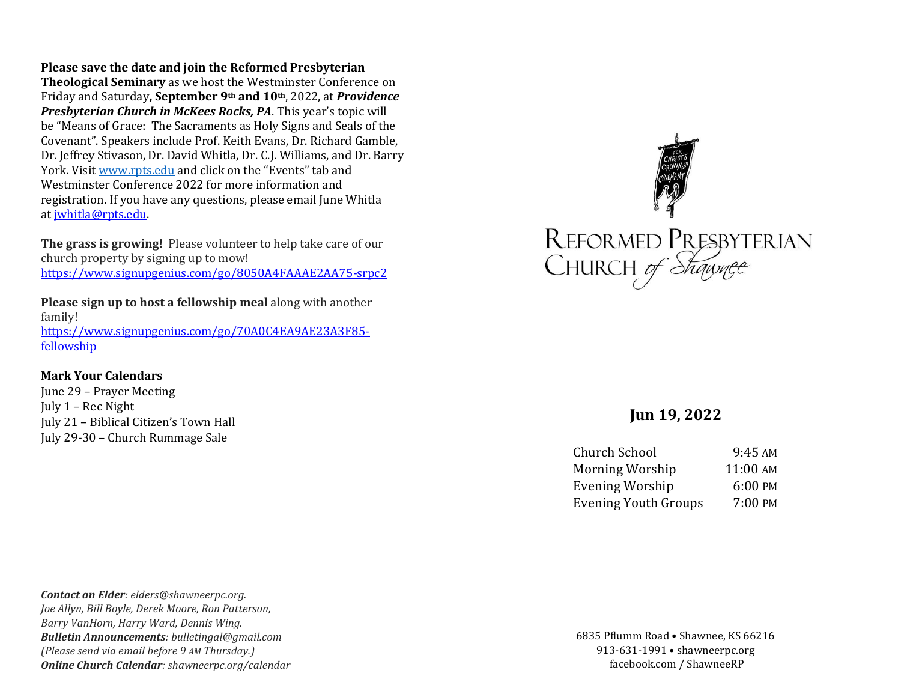**Please save the date and join the Reformed Presbyterian** 

**Theological Seminary** as we host the Westminster Conference on Friday and Saturday**, September 9th and 10th**, 2022, at *Providence Presbyterian Church in McKees Rocks, PA*. This year's topic will be "Means of Grace: The Sacraments as Holy Signs and Seals of the Covenant". Speakers include Prof. Keith Evans, Dr. Richard Gamble, Dr. Jeffrey Stivason, Dr. David Whitla, Dr. C.J. Williams, and Dr. Barry York. Visit [www.rpts.edu](http://www.rpts.edu/) and click on the "Events" tab and Westminster Conference 2022 for more information and registration. If you have any questions, please email June Whitla at [jwhitla@rpts.edu.](mailto:jwhitla@rpts.edu)

**The grass is growing!** Please volunteer to help take care of our church property by signing up to mow! <https://www.signupgenius.com/go/8050A4FAAAE2AA75-srpc2>

**Please sign up to host a fellowship meal** along with another family! [https://www.signupgenius.com/go/70A0C4EA9AE23A3F85](https://www.signupgenius.com/go/70A0C4EA9AE23A3F85-fellowship) [fellowship](https://www.signupgenius.com/go/70A0C4EA9AE23A3F85-fellowship)

#### **Mark Your Calendars**

June 29 – Prayer Meeting July 1 – Rec Night July 21 – Biblical Citizen's Town Hall July 29-30 – Church Rummage Sale



# **Jun 19, 2022**

| 9:45 AM  |
|----------|
| 11:00 AM |
| 6:00 PM  |
| 7:00 PM  |
|          |

*Contact an Elder: elders@shawneerpc.org. Joe Allyn, Bill Boyle, Derek Moore, Ron Patterson, Barry VanHorn, Harry Ward, Dennis Wing. Bulletin Announcements: bulletingal@gmail.com (Please send via email before 9 AM Thursday.) Online Church Calendar: shawneerpc.org/calendar*

6835 Pflumm Road • Shawnee, KS 66216 913-631-1991 • shawneerpc.org facebook.com / ShawneeRP